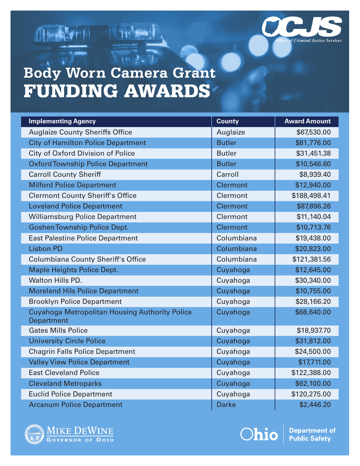

# 一般之一 **Body Worn Camera Grant** FUNDING AWARDS

 $(1 - \sqrt{9 + 1})$ 

| <b>Implementing Agency</b>                                                 | <b>County</b>   | <b>Award Amount</b> |
|----------------------------------------------------------------------------|-----------------|---------------------|
| <b>Auglaize County Sheriffs Office</b>                                     | Auglaize        | \$67,530.00         |
| <b>City of Hamilton Police Department</b>                                  | <b>Butler</b>   | \$81,776.00         |
| City of Oxford Division of Police                                          | <b>Butler</b>   | \$31,451.38         |
| <b>Oxford Township Police Department</b>                                   | <b>Butler</b>   | \$10,546.60         |
| <b>Carroll County Sheriff</b>                                              | Carroll         | \$8,939.40          |
| <b>Milford Police Department</b>                                           | <b>Clermont</b> | \$12,940.00         |
| <b>Clermont County Sheriff's Office</b>                                    | Clermont        | \$188,498.41        |
| <b>Loveland Police Department</b>                                          | <b>Clermont</b> | \$87,896.26         |
| <b>Williamsburg Police Department</b>                                      | Clermont        | \$11,140.04         |
| <b>Goshen Township Police Dept.</b>                                        | <b>Clermont</b> | \$10,713.76         |
| <b>East Palestine Police Department</b>                                    | Columbiana      | \$19,438.00         |
| <b>Lisbon PD</b>                                                           | Columbiana      | \$20,823.00         |
| <b>Columbiana County Sheriff's Office</b>                                  | Columbiana      | \$121,381.56        |
| <b>Maple Heights Police Dept.</b>                                          | Cuyahoga        | \$12,645.00         |
| <b>Walton Hills PD.</b>                                                    | Cuyahoga        | \$30,340.00         |
| <b>Moreland Hils Police Department</b>                                     | Cuyahoga        | \$10,755.00         |
| <b>Brooklyn Police Department</b>                                          | Cuyahoga        | \$28,166.20         |
| <b>Cuyahoga Metropolitan Housing Authority Police</b><br><b>Department</b> | Cuyahoga        | \$68,640.00         |
| <b>Gates Mills Police</b>                                                  | Cuyahoga        | \$18,937.70         |
| <b>University Circle Police</b>                                            | Cuyahoga        | \$31,812.00         |
| <b>Chagrin Falls Police Department</b>                                     | Cuyahoga        | \$24,500.00         |
| <b>Valley View Police Department</b>                                       | Cuyahoga        | \$17,711.00         |
| <b>East Cleveland Police</b>                                               | Cuyahoga        | \$122,388.00        |
| <b>Cleveland Metroparks</b>                                                | Cuyahoga        | \$62,100.00         |
| <b>Euclid Police Department</b>                                            | Cuyahoga        | \$120,275.00        |
| <b>Arcanum Police Department</b>                                           | <b>Darke</b>    | \$2,446.20          |



Ohio

**Department of Public Safety**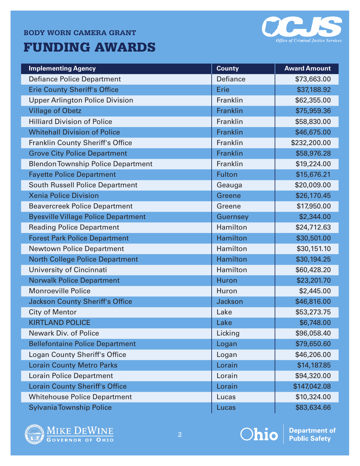#### **BODY WORN CAMERA GRANT**

## FUNDING AWARDS



| <b>Implementing Agency</b>                 | <b>County</b>   | <b>Award Amount</b> |
|--------------------------------------------|-----------------|---------------------|
| <b>Defiance Police Department</b>          | <b>Defiance</b> | \$73,663.00         |
| <b>Erie County Sheriff's Office</b>        | <b>Erie</b>     | \$37,188.92         |
| <b>Upper Arlington Police Division</b>     | Franklin        | \$62,355.00         |
| <b>Village of Obetz</b>                    | Franklin        | \$75,959.36         |
| <b>Hilliard Division of Police</b>         | Franklin        | \$58,830.00         |
| <b>Whitehall Division of Police</b>        | Franklin        | \$46,675.00         |
| <b>Franklin County Sheriff's Office</b>    | Franklin        | \$232,200.00        |
| <b>Grove City Police Department</b>        | Franklin        | \$58,976.28         |
| <b>Blendon Township Police Department</b>  | Franklin        | \$19,224.00         |
| <b>Fayette Police Department</b>           | <b>Fulton</b>   | \$15,676.21         |
| <b>South Russell Police Department</b>     | Geauga          | \$20,009.00         |
| <b>Xenia Police Division</b>               | <b>Greene</b>   | \$26,170.45         |
| <b>Beavercreek Police Department</b>       | Greene          | \$17,950.00         |
| <b>Byesville Village Police Department</b> | <b>Guernsey</b> | \$2,344.00          |
| <b>Reading Police Department</b>           | Hamilton        | \$24,712.63         |
| <b>Forest Park Police Department</b>       | <b>Hamilton</b> | \$30,501.00         |
| <b>Newtown Police Department</b>           | Hamilton        | \$30,151.10         |
| <b>North College Police Department</b>     | <b>Hamilton</b> | \$30,194.25         |
| University of Cincinnati                   | Hamilton        | \$60,428.20         |
| <b>Norwalk Police Department</b>           | <b>Huron</b>    | \$23,201.70         |
| <b>Monroeville Police</b>                  | Huron           | \$2,445.00          |
| <b>Jackson County Sheriff's Office</b>     | <b>Jackson</b>  | \$46,816.00         |
| <b>City of Mentor</b>                      | Lake            | \$53,273.75         |
| <b>KIRTLAND POLICE</b>                     | Lake            | \$6,748.00          |
| Newark Div. of Police                      | Licking         | \$96,058.40         |
| <b>Bellefontaine Police Department</b>     | Logan           | \$79,650.60         |
| <b>Logan County Sheriff's Office</b>       | Logan           | \$46,206.00         |
| <b>Lorain County Metro Parks</b>           | Lorain          | \$14,187.85         |
| <b>Lorain Police Department</b>            | Lorain          | \$94,320.00         |
| <b>Lorain County Sheriff's Office</b>      | Lorain          | \$147,042.08        |
| <b>Whitehouse Police Department</b>        | Lucas           | \$10,324.00         |
| <b>Sylvania Township Police</b>            | Lucas           | \$83,634.66         |







**Department of<br>Public Safety**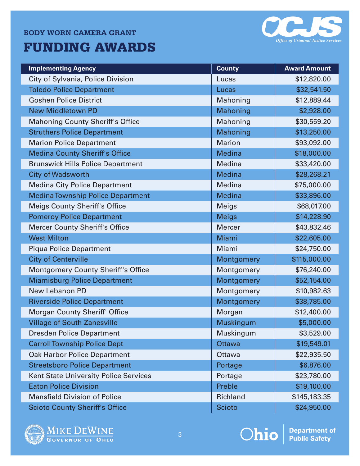#### **BODY WORN CAMERA GRANT**

# FUNDING AWARDS



| <b>Implementing Agency</b>                   | <b>County</b>    | <b>Award Amount</b> |
|----------------------------------------------|------------------|---------------------|
| City of Sylvania, Police Division            | Lucas            | \$12,820.00         |
| <b>Toledo Police Department</b>              | Lucas            | \$32,541.50         |
| <b>Goshen Police District</b>                | Mahoning         | \$12,889.44         |
| <b>New Middletown PD</b>                     | <b>Mahoning</b>  | \$2,928.00          |
| <b>Mahoning County Sheriff's Office</b>      | Mahoning         | \$30,559.20         |
| <b>Struthers Police Department</b>           | Mahoning         | \$13,250.00         |
| <b>Marion Police Department</b>              | <b>Marion</b>    | \$93,092.00         |
| <b>Medina County Sheriff's Office</b>        | <b>Medina</b>    | \$18,000.00         |
| <b>Brunswick Hills Police Department</b>     | Medina           | \$33,420.00         |
| <b>City of Wadsworth</b>                     | <b>Medina</b>    | \$28,268.21         |
| <b>Medina City Police Department</b>         | Medina           | \$75,000.00         |
| <b>Medina Township Police Department</b>     | <b>Medina</b>    | \$33,896.00         |
| <b>Meigs County Sheriff's Office</b>         | <b>Meigs</b>     | \$68,017.00         |
| <b>Pomeroy Police Department</b>             | <b>Meigs</b>     | \$14,228.90         |
| <b>Mercer County Sheriff's Office</b>        | <b>Mercer</b>    | \$43,832.46         |
| <b>West Milton</b>                           | Miami            | \$22,605.00         |
| <b>Piqua Police Department</b>               | Miami            | \$24,750.00         |
| <b>City of Centerville</b>                   | Montgomery       | \$115,000.00        |
| <b>Montgomery County Sheriff's Office</b>    | Montgomery       | \$76,240.00         |
| <b>Miamisburg Police Department</b>          | Montgomery       | \$52,154.00         |
| New Lebanon PD                               | Montgomery       | \$10,982.63         |
| <b>Riverside Police Department</b>           | Montgomery       | \$38,785.00         |
| <b>Morgan County Sheriff' Office</b>         | Morgan           | \$12,400.00         |
| <b>Village of South Zanesville</b>           | <b>Muskingum</b> | \$5,000.00          |
| <b>Dresden Police Department</b>             | Muskingum        | \$3,529.00          |
| <b>Carroll Township Police Dept</b>          | <b>Ottawa</b>    | \$19,549.01         |
| <b>Oak Harbor Police Department</b>          | Ottawa           | \$22,935.50         |
| <b>Streetsboro Police Department</b>         | Portage          | \$6,876.00          |
| <b>Kent State University Police Services</b> | Portage          | \$23,780.00         |
| <b>Eaton Police Division</b>                 | Preble           | \$19,100.00         |
| <b>Mansfield Division of Police</b>          | Richland         | \$145,183.35        |
| <b>Scioto County Sheriff's Office</b>        | <b>Scioto</b>    | \$24,950.00         |







**Department of<br>Public Safety**